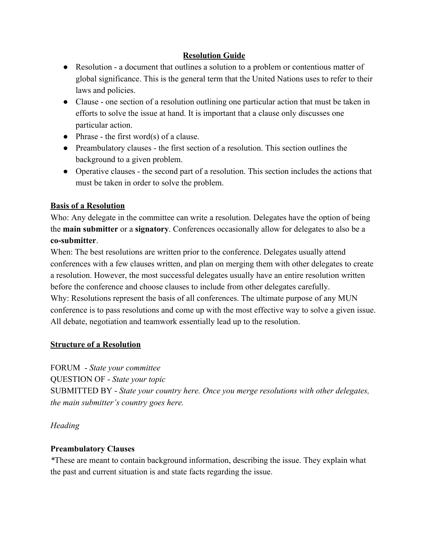## **Resolution Guide**

- Resolution a document that outlines a solution to a problem or contentious matter of global significance. This is the general term that the United Nations uses to refer to their laws and policies.
- Clause one section of a resolution outlining one particular action that must be taken in efforts to solve the issue at hand. It is important that a clause only discusses one particular action.
- $\bullet$  Phrase the first word(s) of a clause.
- Preambulatory clauses the first section of a resolution. This section outlines the background to a given problem.
- Operative clauses the second part of a resolution. This section includes the actions that must be taken in order to solve the problem.

## **Basis of a Resolution**

Who: Any delegate in the committee can write a resolution. Delegates have the option of being the **main submitter** or a **signatory**. Conferences occasionally allow for delegates to also be a **co-submitter**.

When: The best resolutions are written prior to the conference. Delegates usually attend conferences with a few clauses written, and plan on merging them with other delegates to create a resolution. However, the most successful delegates usually have an entire resolution written before the conference and choose clauses to include from other delegates carefully. Why: Resolutions represent the basis of all conferences. The ultimate purpose of any MUN conference is to pass resolutions and come up with the most effective way to solve a given issue. All debate, negotiation and teamwork essentially lead up to the resolution.

# **Structure of a Resolution**

FORUM - *State your committee* QUESTION OF - *State your topic* SUBMITTED BY - *State your country here. Once you merge resolutions with other delegates, the main submitter's country goes here.*

#### *Heading*

# **Preambulatory Clauses**

*\**These are meant to contain background information, describing the issue. They explain what the past and current situation is and state facts regarding the issue.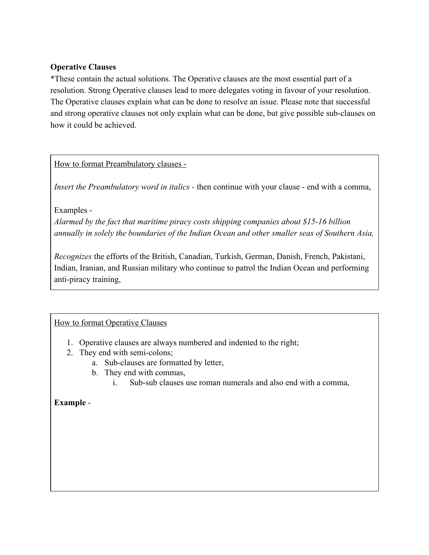### **Operative Clauses**

\*These contain the actual solutions. The Operative clauses are the most essential part of a resolution. Strong Operative clauses lead to more delegates voting in favour of your resolution. The Operative clauses explain what can be done to resolve an issue. Please note that successful and strong operative clauses not only explain what can be done, but give possible sub-clauses on how it could be achieved.

How to format Preambulatory clauses -

*Insert the Preambulatory word in italics -* then continue with your clause - end with a comma,

Examples -

*Alarmed by the fact that maritime piracy costs shipping companies about \$15-16 billion annually in solely the boundaries of the Indian Ocean and other smaller seas of Southern Asia,*

*Recognizes* the efforts of the British, Canadian, Turkish, German, Danish, French, Pakistani, Indian, Iranian, and Russian military who continue to patrol the Indian Ocean and performing anti-piracy training,

How to format Operative Clauses

- 1. Operative clauses are always numbered and indented to the right;
- 2. They end with semi-colons;
	- a. Sub-clauses are formatted by letter,
	- b. They end with commas,
		- i. Sub-sub clauses use roman numerals and also end with a comma,

**Example** -